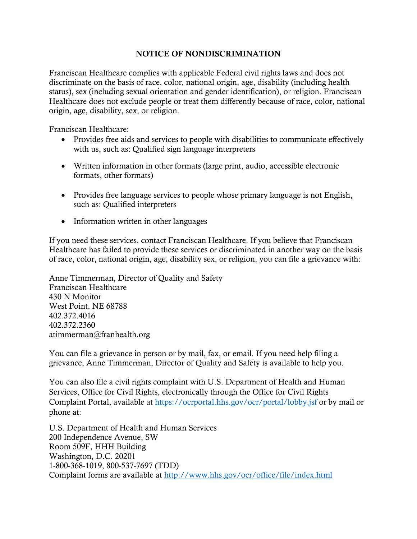## NOTICE OF NONDISCRIMINATION

Franciscan Healthcare complies with applicable Federal civil rights laws and does not discriminate on the basis of race, color, national origin, age, disability (including health status), sex (including sexual orientation and gender identification), or religion. Franciscan Healthcare does not exclude people or treat them differently because of race, color, national origin, age, disability, sex, or religion.

Franciscan Healthcare:

- Provides free aids and services to people with disabilities to communicate effectively with us, such as: Qualified sign language interpreters
- Written information in other formats (large print, audio, accessible electronic formats, other formats)
- Provides free language services to people whose primary language is not English, such as: Qualified interpreters
- Information written in other languages

If you need these services, contact Franciscan Healthcare. If you believe that Franciscan Healthcare has failed to provide these services or discriminated in another way on the basis of race, color, national origin, age, disability sex, or religion, you can file a grievance with:

Anne Timmerman, Director of Quality and Safety Franciscan Healthcare 430 N Monitor West Point, NE 68788 402.372.4016 402.372.2360 atimmerman@franhealth.org

You can file a grievance in person or by mail, fax, or email. If you need help filing a grievance, Anne Timmerman, Director of Quality and Safety is available to help you.

You can also file a civil rights complaint with U.S. Department of Health and Human Services, Office for Civil Rights, electronically through the Office for Civil Rights Complaint Portal, available at<https://ocrportal.hhs.gov/ocr/portal/lobby.jsf> or by mail or phone at:

U.S. Department of Health and Human Services 200 Independence Avenue, SW Room 509F, HHH Building Washington, D.C. 20201 1-800-368-1019, 800-537-7697 (TDD) Complaint forms are available at<http://www.hhs.gov/ocr/office/file/index.html>